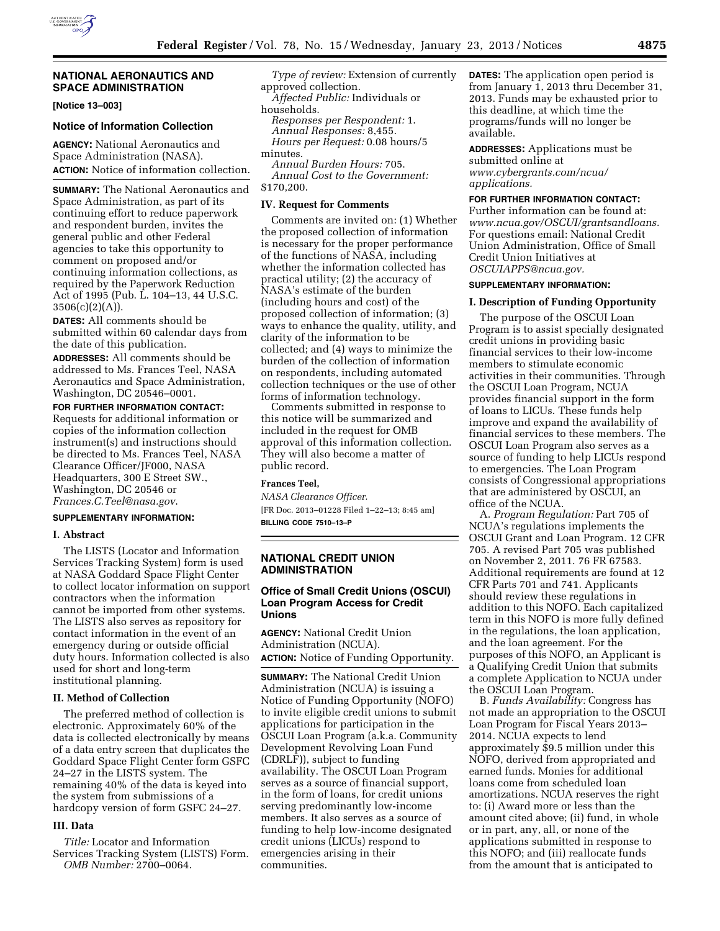

### **NATIONAL AERONAUTICS AND SPACE ADMINISTRATION**

**[Notice 13–003]** 

#### **Notice of Information Collection**

**AGENCY:** National Aeronautics and Space Administration (NASA). **ACTION:** Notice of information collection.

**SUMMARY:** The National Aeronautics and Space Administration, as part of its continuing effort to reduce paperwork and respondent burden, invites the general public and other Federal agencies to take this opportunity to comment on proposed and/or continuing information collections, as required by the Paperwork Reduction Act of 1995 (Pub. L. 104–13, 44 U.S.C.  $3506(c)(2)(A)$ .

**DATES:** All comments should be submitted within 60 calendar days from the date of this publication.

**ADDRESSES:** All comments should be addressed to Ms. Frances Teel, NASA Aeronautics and Space Administration, Washington, DC 20546–0001.

**FOR FURTHER INFORMATION CONTACT:**  Requests for additional information or copies of the information collection instrument(s) and instructions should be directed to Ms. Frances Teel, NASA Clearance Officer/JF000, NASA Headquarters, 300 E Street SW., Washington, DC 20546 or *[Frances.C.Teel@nasa.gov](mailto:Frances.C.Teel@nasa.gov)*.

### **SUPPLEMENTARY INFORMATION:**

### **I. Abstract**

The LISTS (Locator and Information Services Tracking System) form is used at NASA Goddard Space Flight Center to collect locator information on support contractors when the information cannot be imported from other systems. The LISTS also serves as repository for contact information in the event of an emergency during or outside official duty hours. Information collected is also used for short and long-term institutional planning.

### **II. Method of Collection**

The preferred method of collection is electronic. Approximately 60% of the data is collected electronically by means of a data entry screen that duplicates the Goddard Space Flight Center form GSFC 24–27 in the LISTS system. The remaining 40% of the data is keyed into the system from submissions of a hardcopy version of form GSFC 24–27.

### **III. Data**

*Title:* Locator and Information Services Tracking System (LISTS) Form. *OMB Number:* 2700–0064.

*Type of review:* Extension of currently approved collection.

*Affected Public:* Individuals or households.

*Responses per Respondent:* 1. *Annual Responses:* 8,455. *Hours per Request:* 0.08 hours/5 minutes.

*Annual Burden Hours:* 705. *Annual Cost to the Government:*  \$170,200.

#### **IV. Request for Comments**

Comments are invited on: (1) Whether the proposed collection of information is necessary for the proper performance of the functions of NASA, including whether the information collected has practical utility; (2) the accuracy of NASA's estimate of the burden (including hours and cost) of the proposed collection of information; (3) ways to enhance the quality, utility, and clarity of the information to be collected; and (4) ways to minimize the burden of the collection of information on respondents, including automated collection techniques or the use of other forms of information technology.

Comments submitted in response to this notice will be summarized and included in the request for OMB approval of this information collection. They will also become a matter of public record.

### **Frances Teel,**

*NASA Clearance Officer.*  [FR Doc. 2013–01228 Filed 1–22–13; 8:45 am] **BILLING CODE 7510–13–P** 

#### **NATIONAL CREDIT UNION ADMINISTRATION**

#### **Office of Small Credit Unions (OSCUI) Loan Program Access for Credit Unions**

**AGENCY:** National Credit Union Administration (NCUA). **ACTION:** Notice of Funding Opportunity.

**SUMMARY:** The National Credit Union Administration (NCUA) is issuing a Notice of Funding Opportunity (NOFO) to invite eligible credit unions to submit applications for participation in the OSCUI Loan Program (a.k.a. Community Development Revolving Loan Fund (CDRLF)), subject to funding availability. The OSCUI Loan Program serves as a source of financial support, in the form of loans, for credit unions serving predominantly low-income members. It also serves as a source of funding to help low-income designated credit unions (LICUs) respond to emergencies arising in their communities.

**DATES:** The application open period is from January 1, 2013 thru December 31, 2013. Funds may be exhausted prior to this deadline, at which time the programs/funds will no longer be available.

**ADDRESSES:** Applications must be submitted online at *[www.cybergrants.com/ncua/](http://www.cybergrants.com/ncua/applications) [applications.](http://www.cybergrants.com/ncua/applications)* 

## **FOR FURTHER INFORMATION CONTACT:**

Further information can be found at: *[www.ncua.gov/OSCUI/grantsandloans.](http://www.ncua.gov/OSCUI/grantsandloans)*  For questions email: National Credit Union Administration, Office of Small Credit Union Initiatives at *[OSCUIAPPS@ncua.gov.](mailto:OSCUIAPPS@ncua.gov)* 

### **SUPPLEMENTARY INFORMATION:**

#### **I. Description of Funding Opportunity**

The purpose of the OSCUI Loan Program is to assist specially designated credit unions in providing basic financial services to their low-income members to stimulate economic activities in their communities. Through the OSCUI Loan Program, NCUA provides financial support in the form of loans to LICUs. These funds help improve and expand the availability of financial services to these members. The OSCUI Loan Program also serves as a source of funding to help LICUs respond to emergencies. The Loan Program consists of Congressional appropriations that are administered by OSCUI, an office of the NCUA.

A. *Program Regulation:* Part 705 of NCUA's regulations implements the OSCUI Grant and Loan Program. 12 CFR 705. A revised Part 705 was published on November 2, 2011. 76 FR 67583. Additional requirements are found at 12 CFR Parts 701 and 741. Applicants should review these regulations in addition to this NOFO. Each capitalized term in this NOFO is more fully defined in the regulations, the loan application, and the loan agreement. For the purposes of this NOFO, an Applicant is a Qualifying Credit Union that submits a complete Application to NCUA under the OSCUI Loan Program.

B. *Funds Availability:* Congress has not made an appropriation to the OSCUI Loan Program for Fiscal Years 2013– 2014. NCUA expects to lend approximately \$9.5 million under this NOFO, derived from appropriated and earned funds. Monies for additional loans come from scheduled loan amortizations. NCUA reserves the right to: (i) Award more or less than the amount cited above; (ii) fund, in whole or in part, any, all, or none of the applications submitted in response to this NOFO; and (iii) reallocate funds from the amount that is anticipated to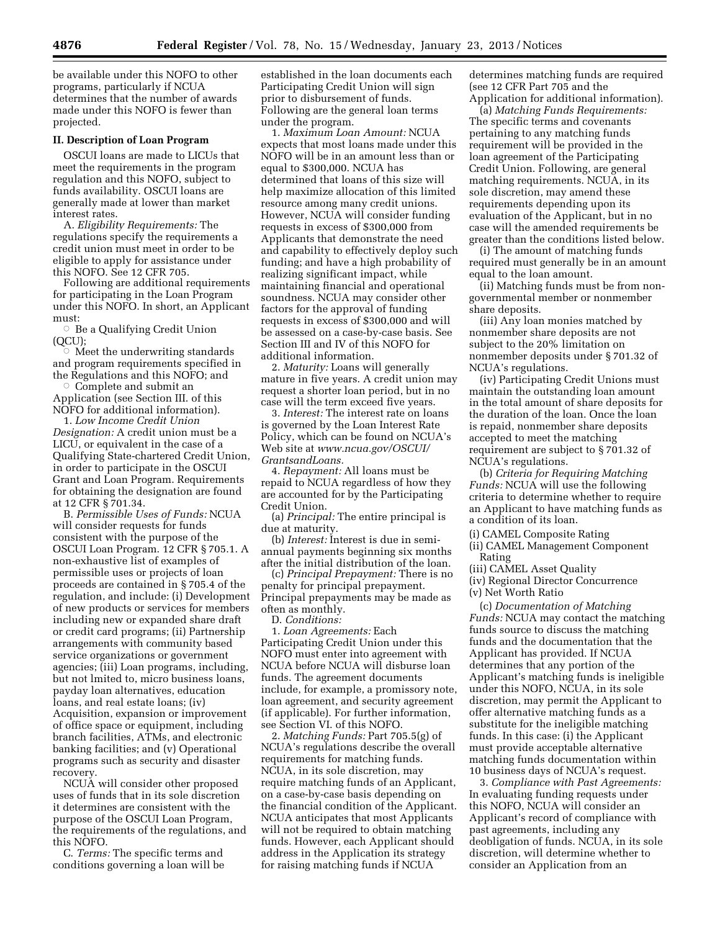be available under this NOFO to other programs, particularly if NCUA determines that the number of awards made under this NOFO is fewer than projected.

### **II. Description of Loan Program**

OSCUI loans are made to LICUs that meet the requirements in the program regulation and this NOFO, subject to funds availability. OSCUI loans are generally made at lower than market interest rates.

A. *Eligibility Requirements:* The regulations specify the requirements a credit union must meet in order to be eligible to apply for assistance under this NOFO. See 12 CFR 705.

Following are additional requirements for participating in the Loan Program under this NOFO. In short, an Applicant must:

 $\circ$  Be a Qualifying Credit Union (QCU); Æ

 Meet the underwriting standards and program requirements specified in the Regulations and this NOFO; and

Æ Complete and submit an Application (see Section III. of this NOFO for additional information).

1. *Low Income Credit Union Designation:* A credit union must be a LICU, or equivalent in the case of a Qualifying State-chartered Credit Union, in order to participate in the OSCUI Grant and Loan Program. Requirements for obtaining the designation are found at 12 CFR § 701.34.

B. *Permissible Uses of Funds:* NCUA will consider requests for funds consistent with the purpose of the OSCUI Loan Program. 12 CFR § 705.1. A non-exhaustive list of examples of permissible uses or projects of loan proceeds are contained in § 705.4 of the regulation, and include: (i) Development of new products or services for members including new or expanded share draft or credit card programs; (ii) Partnership arrangements with community based service organizations or government agencies; (iii) Loan programs, including, but not lmited to, micro business loans, payday loan alternatives, education loans, and real estate loans; (iv) Acquisition, expansion or improvement of office space or equipment, including branch facilities, ATMs, and electronic banking facilities; and (v) Operational programs such as security and disaster recovery.

NCUA will consider other proposed uses of funds that in its sole discretion it determines are consistent with the purpose of the OSCUI Loan Program, the requirements of the regulations, and this NOFO.

C. *Terms:* The specific terms and conditions governing a loan will be established in the loan documents each Participating Credit Union will sign prior to disbursement of funds. Following are the general loan terms under the program.

1. *Maximum Loan Amount:* NCUA expects that most loans made under this NOFO will be in an amount less than or equal to \$300,000. NCUA has determined that loans of this size will help maximize allocation of this limited resource among many credit unions. However, NCUA will consider funding requests in excess of \$300,000 from Applicants that demonstrate the need and capability to effectively deploy such funding; and have a high probability of realizing significant impact, while maintaining financial and operational soundness. NCUA may consider other factors for the approval of funding requests in excess of \$300,000 and will be assessed on a case-by-case basis. See Section III and IV of this NOFO for additional information.

2. *Maturity:* Loans will generally mature in five years. A credit union may request a shorter loan period, but in no case will the term exceed five years.

3. *Interest:* The interest rate on loans is governed by the Loan Interest Rate Policy, which can be found on NCUA's Web site at *[www.ncua.gov/OSCUI/](http://www.ncua.gov/OSCUI/GrantsandLoans)  [GrantsandLoans.](http://www.ncua.gov/OSCUI/GrantsandLoans)* 

4. *Repayment:* All loans must be repaid to NCUA regardless of how they are accounted for by the Participating Credit Union.

(a) *Principal:* The entire principal is due at maturity.

(b) *Interest:* Interest is due in semiannual payments beginning six months after the initial distribution of the loan.

(c) *Principal Prepayment:* There is no penalty for principal prepayment. Principal prepayments may be made as often as monthly.

D. *Conditions:* 

1. *Loan Agreements:* Each Participating Credit Union under this NOFO must enter into agreement with NCUA before NCUA will disburse loan funds. The agreement documents include, for example, a promissory note, loan agreement, and security agreement (if applicable). For further information, see Section VI. of this NOFO.

2. *Matching Funds:* Part 705.5(g) of NCUA's regulations describe the overall requirements for matching funds. NCUA, in its sole discretion, may require matching funds of an Applicant, on a case-by-case basis depending on the financial condition of the Applicant. NCUA anticipates that most Applicants will not be required to obtain matching funds. However, each Applicant should address in the Application its strategy for raising matching funds if NCUA

determines matching funds are required (see 12 CFR Part 705 and the Application for additional information).

(a) *Matching Funds Requirements:*  The specific terms and covenants pertaining to any matching funds requirement will be provided in the loan agreement of the Participating Credit Union. Following, are general matching requirements. NCUA, in its sole discretion, may amend these requirements depending upon its evaluation of the Applicant, but in no case will the amended requirements be greater than the conditions listed below.

(i) The amount of matching funds required must generally be in an amount equal to the loan amount.

(ii) Matching funds must be from nongovernmental member or nonmember share deposits.

(iii) Any loan monies matched by nonmember share deposits are not subject to the 20% limitation on nonmember deposits under § 701.32 of NCUA's regulations.

(iv) Participating Credit Unions must maintain the outstanding loan amount in the total amount of share deposits for the duration of the loan. Once the loan is repaid, nonmember share deposits accepted to meet the matching requirement are subject to § 701.32 of NCUA's regulations.

(b) *Criteria for Requiring Matching Funds:* NCUA will use the following criteria to determine whether to require an Applicant to have matching funds as a condition of its loan.

(i) CAMEL Composite Rating

(ii) CAMEL Management Component Rating

(iii) CAMEL Asset Quality

(iv) Regional Director Concurrence (v) Net Worth Ratio

(c) *Documentation of Matching Funds:* NCUA may contact the matching funds source to discuss the matching funds and the documentation that the Applicant has provided. If NCUA determines that any portion of the Applicant's matching funds is ineligible under this NOFO, NCUA, in its sole discretion, may permit the Applicant to offer alternative matching funds as a substitute for the ineligible matching funds. In this case: (i) the Applicant must provide acceptable alternative matching funds documentation within 10 business days of NCUA's request.

3. *Compliance with Past Agreements:*  In evaluating funding requests under this NOFO, NCUA will consider an Applicant's record of compliance with past agreements, including any deobligation of funds. NCUA, in its sole discretion, will determine whether to consider an Application from an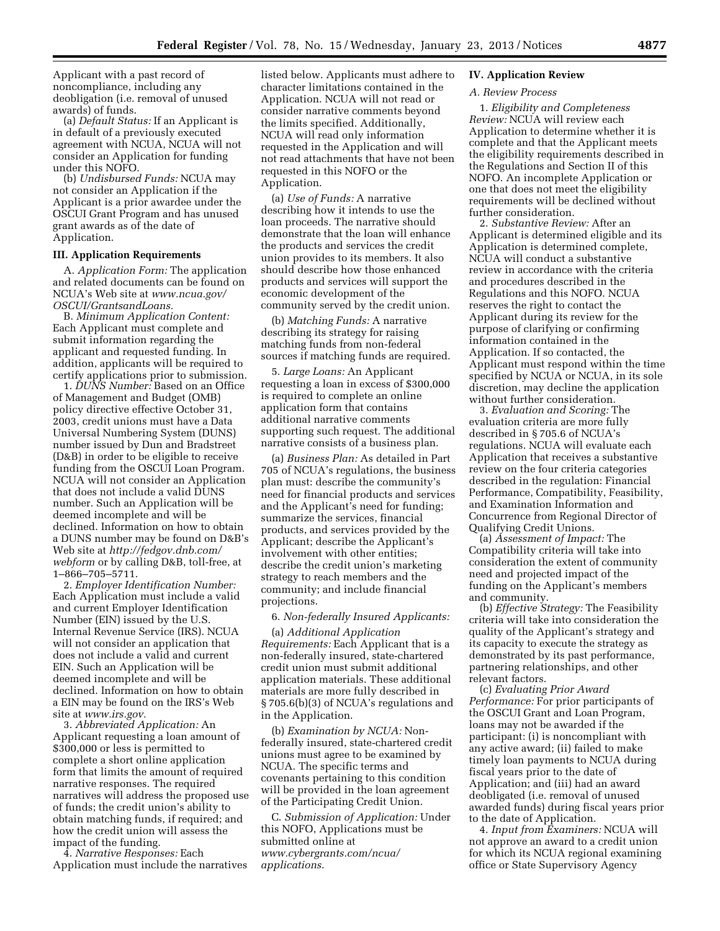Applicant with a past record of noncompliance, including any deobligation (i.e. removal of unused awards) of funds.

(a) *Default Status:* If an Applicant is in default of a previously executed agreement with NCUA, NCUA will not consider an Application for funding under this NOFO.

(b) *Undisbursed Funds:* NCUA may not consider an Application if the Applicant is a prior awardee under the OSCUI Grant Program and has unused grant awards as of the date of Application.

#### **III. Application Requirements**

A. *Application Form:* The application and related documents can be found on NCUA's Web site at *[www.ncua.gov/](http://www.ncua.gov/OSCUI/GrantsandLoans)  [OSCUI/GrantsandLoans.](http://www.ncua.gov/OSCUI/GrantsandLoans)* 

B. *Minimum Application Content:*  Each Applicant must complete and submit information regarding the applicant and requested funding. In addition, applicants will be required to certify applications prior to submission.

1. *DUNS Number:* Based on an Office of Management and Budget (OMB) policy directive effective October 31, 2003, credit unions must have a Data Universal Numbering System (DUNS) number issued by Dun and Bradstreet (D&B) in order to be eligible to receive funding from the OSCUI Loan Program. NCUA will not consider an Application that does not include a valid DUNS number. Such an Application will be deemed incomplete and will be declined. Information on how to obtain a DUNS number may be found on D&B's Web site at *[http://fedgov.dnb.com/](http://fedgov.dnb.com/webform)  [webform](http://fedgov.dnb.com/webform)* or by calling D&B, toll-free, at 1–866–705–5711.

2. *Employer Identification Number:*  Each Application must include a valid and current Employer Identification Number (EIN) issued by the U.S. Internal Revenue Service (IRS). NCUA will not consider an application that does not include a valid and current EIN. Such an Application will be deemed incomplete and will be declined. Information on how to obtain a EIN may be found on the IRS's Web site at *[www.irs.gov.](http://www.irs.gov)* 

3. *Abbreviated Application:* An Applicant requesting a loan amount of \$300,000 or less is permitted to complete a short online application form that limits the amount of required narrative responses. The required narratives will address the proposed use of funds; the credit union's ability to obtain matching funds, if required; and how the credit union will assess the impact of the funding.

4. *Narrative Responses:* Each Application must include the narratives

listed below. Applicants must adhere to character limitations contained in the Application. NCUA will not read or consider narrative comments beyond the limits specified. Additionally, NCUA will read only information requested in the Application and will not read attachments that have not been requested in this NOFO or the Application.

(a) *Use of Funds:* A narrative describing how it intends to use the loan proceeds. The narrative should demonstrate that the loan will enhance the products and services the credit union provides to its members. It also should describe how those enhanced products and services will support the economic development of the community served by the credit union.

(b) *Matching Funds:* A narrative describing its strategy for raising matching funds from non-federal sources if matching funds are required.

5. *Large Loans:* An Applicant requesting a loan in excess of \$300,000 is required to complete an online application form that contains additional narrative comments supporting such request. The additional narrative consists of a business plan.

(a) *Business Plan:* As detailed in Part 705 of NCUA's regulations, the business plan must: describe the community's need for financial products and services and the Applicant's need for funding; summarize the services, financial products, and services provided by the Applicant; describe the Applicant's involvement with other entities; describe the credit union's marketing strategy to reach members and the community; and include financial projections.

6. *Non-federally Insured Applicants:* 

(a) *Additional Application Requirements:* Each Applicant that is a non-federally insured, state-chartered credit union must submit additional application materials. These additional materials are more fully described in § 705.6(b)(3) of NCUA's regulations and in the Application.

(b) *Examination by NCUA:* Nonfederally insured, state-chartered credit unions must agree to be examined by NCUA. The specific terms and covenants pertaining to this condition will be provided in the loan agreement of the Participating Credit Union.

C. *Submission of Application:* Under this NOFO, Applications must be submitted online at *[www.cybergrants.com/ncua/](http://www.cybergrants.com/ncua/applications) [applications](http://www.cybergrants.com/ncua/applications)*.

#### **IV. Application Review**

#### *A. Review Process*

1. *Eligibility and Completeness Review:* NCUA will review each Application to determine whether it is complete and that the Applicant meets the eligibility requirements described in the Regulations and Section II of this NOFO. An incomplete Application or one that does not meet the eligibility requirements will be declined without further consideration.

2. *Substantive Review:* After an Applicant is determined eligible and its Application is determined complete, NCUA will conduct a substantive review in accordance with the criteria and procedures described in the Regulations and this NOFO. NCUA reserves the right to contact the Applicant during its review for the purpose of clarifying or confirming information contained in the Application. If so contacted, the Applicant must respond within the time specified by NCUA or NCUA, in its sole discretion, may decline the application without further consideration.

3. *Evaluation and Scoring:* The evaluation criteria are more fully described in § 705.6 of NCUA's regulations. NCUA will evaluate each Application that receives a substantive review on the four criteria categories described in the regulation: Financial Performance, Compatibility, Feasibility, and Examination Information and Concurrence from Regional Director of Qualifying Credit Unions.

(a) *Assessment of Impact:* The Compatibility criteria will take into consideration the extent of community need and projected impact of the funding on the Applicant's members and community.

(b) *Effective Strategy:* The Feasibility criteria will take into consideration the quality of the Applicant's strategy and its capacity to execute the strategy as demonstrated by its past performance, partnering relationships, and other relevant factors.

(c) *Evaluating Prior Award Performance:* For prior participants of the OSCUI Grant and Loan Program, loans may not be awarded if the participant: (i) is noncompliant with any active award; (ii) failed to make timely loan payments to NCUA during fiscal years prior to the date of Application; and (iii) had an award deobligated (i.e. removal of unused awarded funds) during fiscal years prior to the date of Application.

4. *Input from Examiners:* NCUA will not approve an award to a credit union for which its NCUA regional examining office or State Supervisory Agency